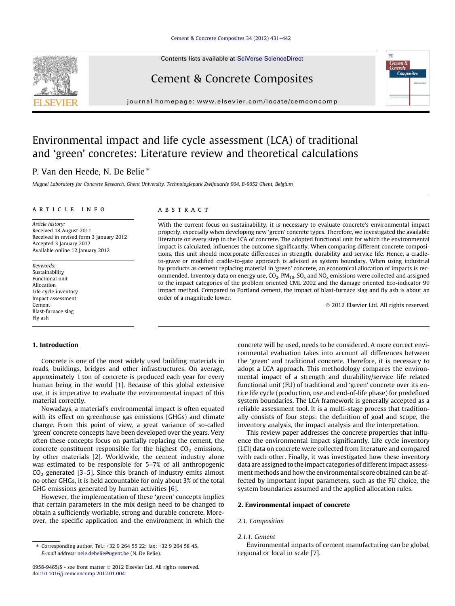#### [Cement & Concrete Composites 34 \(2012\) 431–442](http://dx.doi.org/10.1016/j.cemconcomp.2012.01.004)

Contents lists available at [SciVerse ScienceDirect](http://www.sciencedirect.com/science/journal/09589465)

## Cement & Concrete Composites

journal homepage: [www.elsevier.com/locate/cemconcomp](http://www.elsevier.com/locate/cemconcomp)

# Environmental impact and life cycle assessment (LCA) of traditional and 'green' concretes: Literature review and theoretical calculations

## P. Van den Heede, N. De Belie<sup>\*</sup>

Magnel Laboratory for Concrete Research, Ghent University, Technologiepark Zwijnaarde 904, B-9052 Ghent, Belgium

#### article info

Article history: Received 18 August 2011 Received in revised form 3 January 2012 Accepted 3 January 2012 Available online 12 January 2012

Keywords: Sustainability Functional unit Allocation Life cycle inventory Impact assessment Cement Blast-furnace slag Fly ash

#### 1. Introduction

Concrete is one of the most widely used building materials in roads, buildings, bridges and other infrastructures. On average, approximately 1 ton of concrete is produced each year for every human being in the world [\[1\].](#page-10-0) Because of this global extensive use, it is imperative to evaluate the environmental impact of this material correctly.

Nowadays, a material's environmental impact is often equated with its effect on greenhouse gas emissions (GHGs) and climate change. From this point of view, a great variance of so-called 'green' concrete concepts have been developed over the years. Very often these concepts focus on partially replacing the cement, the concrete constituent responsible for the highest  $CO<sub>2</sub>$  emissions, by other materials [\[2\].](#page-10-0) Worldwide, the cement industry alone was estimated to be responsible for 5–7% of all anthropogenic  $CO<sub>2</sub>$  generated [\[3–5\].](#page-10-0) Since this branch of industry emits almost no other GHGs, it is held accountable for only about 3% of the total GHG emissions generated by human activities [\[6\].](#page-10-0)

However, the implementation of these 'green' concepts implies that certain parameters in the mix design need to be changed to obtain a sufficiently workable, strong and durable concrete. Moreover, the specific application and the environment in which the

## ABSTRACT

With the current focus on sustainability, it is necessary to evaluate concrete's environmental impact properly, especially when developing new 'green' concrete types. Therefore, we investigated the available literature on every step in the LCA of concrete. The adopted functional unit for which the environmental impact is calculated, influences the outcome significantly. When comparing different concrete compositions, this unit should incorporate differences in strength, durability and service life. Hence, a cradleto-grave or modified cradle-to-gate approach is advised as system boundary. When using industrial by-products as cement replacing material in 'green' concrete, an economical allocation of impacts is recommended. Inventory data on energy use,  $CO<sub>2</sub>$ , PM<sub>10</sub>,  $SO<sub>x</sub>$  and NO<sub>x</sub> emissions were collected and assigned to the impact categories of the problem oriented CML 2002 and the damage oriented Eco-indicator 99 impact method. Compared to Portland cement, the impact of blast-furnace slag and fly ash is about an order of a magnitude lower.

- 2012 Elsevier Ltd. All rights reserved.

concrete will be used, needs to be considered. A more correct environmental evaluation takes into account all differences between the 'green' and traditional concrete. Therefore, it is necessary to adopt a LCA approach. This methodology compares the environmental impact of a strength and durability/service life related functional unit (FU) of traditional and 'green' concrete over its entire life cycle (production, use and end-of-life phase) for predefined system boundaries. The LCA framework is generally accepted as a reliable assessment tool. It is a multi-stage process that traditionally consists of four steps: the definition of goal and scope, the inventory analysis, the impact analysis and the interpretation.

This review paper addresses the concrete properties that influence the environmental impact significantly. Life cycle inventory (LCI) data on concrete were collected from literature and compared with each other. Finally, it was investigated how these inventory data are assigned to the impact categories of different impact assessment methods and how the environmental score obtained can be affected by important input parameters, such as the FU choice, the system boundaries assumed and the applied allocation rules.

## 2. Environmental impact of concrete

## 2.1. Composition

### 2.1.1. Cement

Environmental impacts of cement manufacturing can be global, regional or local in scale [\[7\].](#page-10-0)





<sup>⇑</sup> Corresponding author. Tel.: +32 9 264 55 22; fax: +32 9 264 58 45. E-mail address: [nele.debelie@ugent.be](mailto:nele.debelie@ugent.be) (N. De Belie).

<sup>0958-9465/\$ -</sup> see front matter © 2012 Elsevier Ltd. All rights reserved. doi[:10.1016/j.cemconcomp.2012.01.004](http://dx.doi.org/10.1016/j.cemconcomp.2012.01.004)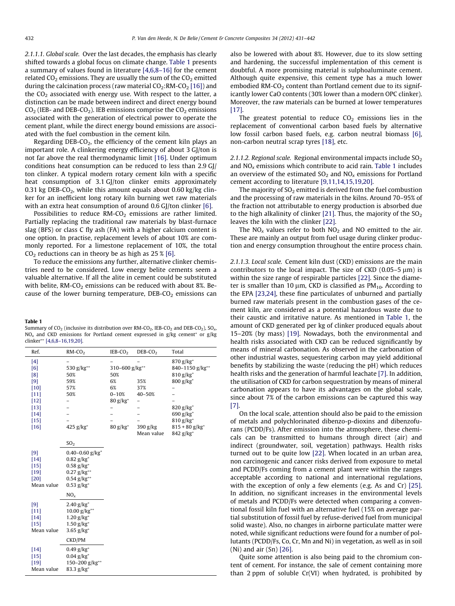<span id="page-1-0"></span>2.1.1.1. Global scale. Over the last decades, the emphasis has clearly shifted towards a global focus on climate change. Table 1 presents a summary of values found in literature [\[4,6,8–16\]](#page-10-0) for the cement related  $CO<sub>2</sub>$  emissions. They are usually the sum of the  $CO<sub>2</sub>$  emitted during the calcination process (raw material  $CO<sub>2</sub>$ :RM-CO<sub>2</sub> [\[16\]\)](#page-10-0) and the  $CO<sub>2</sub>$  associated with energy use. With respect to the latter, a distinction can be made between indirect and direct energy bound  $CO<sub>2</sub>$  (IEB- and DEB-CO<sub>2</sub>). IEB emissions comprise the  $CO<sub>2</sub>$  emissions associated with the generation of electrical power to operate the cement plant, while the direct energy bound emissions are associated with the fuel combustion in the cement kiln.

Regarding DEB-CO<sub>2</sub>, the efficiency of the cement kiln plays an important role. A clinkering energy efficiency of about 3 GJ/ton is not far above the real thermodynamic limit [\[16\].](#page-10-0) Under optimum conditions heat consumption can be reduced to less than 2.9 GJ/ ton clinker. A typical modern rotary cement kiln with a specific heat consumption of 3.1 GJ/ton clinker emits approximately 0.31 kg DEB-CO<sub>2</sub>, while this amount equals about 0.60 kg/kg clinker for an inefficient long rotary kiln burning wet raw materials with an extra heat consumption of around 0.6 GJ/ton clinker [\[6\].](#page-10-0)

Possibilities to reduce  $RM$ - $CO<sub>2</sub>$  emissions are rather limited. Partially replacing the traditional raw materials by blast-furnace slag (BFS) or class C fly ash (FA) with a higher calcium content is one option. In practise, replacement levels of about 10% are commonly reported. For a limestone replacement of 10%, the total  $CO<sub>2</sub>$  reductions can in theory be as high as 25 % [\[6\].](#page-10-0)

To reduce the emissions any further, alternative clinker chemistries need to be considered. Low energy belite cements seem a valuable alternative. If all the alite in cement could be substituted with belite, RM-CO<sub>2</sub> emissions can be reduced with about 8%. Because of the lower burning temperature,  $DEB-CO<sub>2</sub>$  emissions can

#### Table 1

Summary of  $CO_2$  (inclusive its distribution over RM-CO<sub>2</sub>, IEB-CO<sub>2</sub> and DEB-CO<sub>2</sub>), SO<sub>x</sub>, NO<sub>x</sub> and CKD emissions for Portland cement expressed in g/kg cement<sup>\*</sup> or g/kg clinker⁄⁄ [\[4,6,8–16,19,20\].](#page-10-0)

| Ref.                                                | $RM$ - $CO2$                                                                                                                                        | $IEB-CO2$                                 | $DEB-CO2$                | Total                                                  |
|-----------------------------------------------------|-----------------------------------------------------------------------------------------------------------------------------------------------------|-------------------------------------------|--------------------------|--------------------------------------------------------|
| $[4]$<br>[6]<br>[8]<br>[9]                          | 530 g/kg**<br>50%<br>59%                                                                                                                            | 310-600 g/kg**<br>50%<br>6%               | 35%                      | 870 g/kg*<br>840-1150 g/kg**<br>810 g/kg*<br>800 g/kg* |
| $[10]$<br>[11]<br>[12]<br>$[13]$<br>[14]<br>$[15]$  | 57%<br>50%                                                                                                                                          | 6%<br>$0 - 10%$<br>$80$ g/kg <sup>*</sup> | 37%<br>40-50%            | 820 g/kg*<br>690 g/kg*<br>810 g/kg*                    |
| $[16]$                                              | 425 g/kg*<br>SO <sub>2</sub>                                                                                                                        | 80 g/kg*                                  | $390$ g/kg<br>Mean value | $815 + 80$ g/kg*<br>842 g/kg*                          |
| [9]<br>[14]<br>$[15]$<br>[19]<br>[20]<br>Mean value | 0.40-0.60 $g/kg$ <sup>*</sup><br>$0.82$ g/kg <sup>*</sup><br>$0.58$ g/kg <sup>*</sup><br>$0.27$ g/kg**<br>$0.54$ g/kg**<br>$0.53$ g/kg <sup>*</sup> |                                           |                          |                                                        |
| [9]<br>[11]<br>$[14]$<br>$[15]$<br>Mean value       | NO <sub>x</sub><br>$2.40$ g/kg <sup>*</sup><br>10.00 g/kg**<br>$1.20$ g/kg <sup>*</sup><br>$1.50$ g/kg <sup>*</sup><br>3.65 $g/kg$ <sup>*</sup>     |                                           |                          |                                                        |
| $[14]$<br>$[15]$<br>$[19]$<br>Mean value            | CKD/PM<br>$0.49$ g/kg <sup>*</sup><br>$0.04$ g/kg <sup>*</sup><br>150-200 g/kg**<br>83.3 g/kg*                                                      |                                           |                          |                                                        |

also be lowered with about 8%. However, due to its slow setting and hardening, the successful implementation of this cement is doubtful. A more promising material is sulphoaluminate cement. Although quite expensive, this cement type has a much lower embodied RM-CO<sub>2</sub> content than Portland cement due to its significantly lower CaO contents (30% lower than a modern OPC clinker). Moreover, the raw materials can be burned at lower temperatures [\[17\]](#page-10-0).

The greatest potential to reduce  $CO<sub>2</sub>$  emissions lies in the replacement of conventional carbon based fuels by alternative low fossil carbon based fuels, e.g. carbon neutral biomass [\[6\],](#page-10-0) non-carbon neutral scrap tyres [\[18\]](#page-10-0), etc.

2.1.1.2. Regional scale. Regional environmental impacts include  $SO<sub>2</sub>$ and  $NO<sub>x</sub>$  emissions which contribute to acid rain. Table 1 includes an overview of the estimated  $SO_2$  and  $NO_x$  emissions for Portland cement according to literature [\[9,11,14,15,19,20\].](#page-10-0)

The majority of  $SO<sub>2</sub>$  emitted is derived from the fuel combustion and the processing of raw materials in the kilns. Around 70–95% of the fraction not attributable to energy production is absorbed due to the high alkalinity of clinker [\[21\].](#page-10-0) Thus, the majority of the  $SO<sub>2</sub>$ leaves the kiln with the clinker [\[22\].](#page-10-0)

The  $NO<sub>x</sub>$  values refer to both  $NO<sub>2</sub>$  and NO emitted to the air. These are mainly an output from fuel usage during clinker production and energy consumption throughout the entire process chain.

2.1.1.3. Local scale. Cement kiln dust (CKD) emissions are the main contributors to the local impact. The size of CKD  $(0.05-5 \mu m)$  is within the size range of respirable particles [\[22\].](#page-10-0) Since the diameter is smaller than 10  $\mu$ m, CKD is classified as PM<sub>10</sub>. According to the EPA [\[23,24\]](#page-10-0), these fine particulates of unburned and partially burned raw materials present in the combustion gases of the cement kiln, are considered as a potential hazardous waste due to their caustic and irritative nature. As mentioned in Table 1, the amount of CKD generated per kg of clinker produced equals about 15–20% (by mass) [\[19\].](#page-10-0) Nowadays, both the environmental and health risks associated with CKD can be reduced significantly by means of mineral carbonation. As observed in the carbonation of other industrial wastes, sequestering carbon may yield additional benefits by stabilizing the waste (reducing the pH) which reduces health risks and the generation of harmful leachate [\[7\].](#page-10-0) In addition, the utilisation of CKD for carbon sequestration by means of mineral carbonation appears to have its advantages on the global scale, since about 7% of the carbon emissions can be captured this way [\[7\]](#page-10-0).

On the local scale, attention should also be paid to the emission of metals and polychlorinated dibenzo-p-dioxins and dibenzofurans (PCDD/Fs). After emission into the atmosphere, these chemicals can be transmitted to humans through direct (air) and indirect (groundwater, soil, vegetation) pathways. Health risks turned out to be quite low [\[22\].](#page-10-0) When located in an urban area, non carcinogenic and cancer risks derived from exposure to metal and PCDD/Fs coming from a cement plant were within the ranges acceptable according to national and international regulations, with the exception of only a few elements (e.g. As and Cr) [\[25\].](#page-10-0) In addition, no significant increases in the environmental levels of metals and PCDD/Fs were detected when comparing a conventional fossil kiln fuel with an alternative fuel (15% on average partial substitution of fossil fuel by refuse-derived fuel from municipal solid waste). Also, no changes in airborne particulate matter were noted, while significant reductions were found for a number of pollutants (PCDD/Fs, Co, Cr, Mn and Ni) in vegetation, as well as in soil (Ni) and air (Sn) [\[26\].](#page-10-0)

Quite some attention is also being paid to the chromium content of cement. For instance, the sale of cement containing more than 2 ppm of soluble Cr(VI) when hydrated, is prohibited by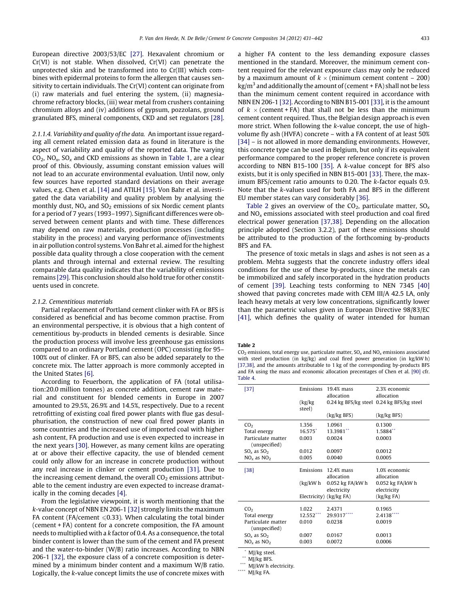<span id="page-2-0"></span>European directive 2003/53/EC [\[27\]](#page-10-0). Hexavalent chromium or Cr(VI) is not stable. When dissolved, Cr(VI) can penetrate the unprotected skin and be transformed into to Cr(III) which combines with epidermal proteins to form the allergen that causes sensitivity to certain individuals. The Cr(VI) content can originate from (i) raw materials and fuel entering the system, (ii) magnesiachrome refractory blocks, (iii) wear metal from crushers containing chromium alloys and (iv) additions of gypsum, pozzolans, ground granulated BFS, mineral components, CKD and set regulators [\[28\].](#page-10-0)

2.1.1.4. Variability and quality of the data. An important issue regarding all cement related emission data as found in literature is the aspect of variability and quality of the reported data. The varying  $CO<sub>2</sub>$ , NO<sub>x</sub>, SO<sub>x</sub> and CKD emissions as shown in [Table 1](#page-1-0), are a clear proof of this. Obviously, assuming constant emission values will not lead to an accurate environmental evaluation. Until now, only few sources have reported standard deviations on their average values, e.g. Chen et al. [\[14\]](#page-10-0) and ATILH [\[15\].](#page-10-0) Von Bahr et al. investigated the data variability and quality problem by analysing the monthly dust,  $NO<sub>x</sub>$  and  $SO<sub>2</sub>$  emissions of six Nordic cement plants for a period of 7 years (1993–1997). Significant differences were observed between cement plants and with time. These differences may depend on raw materials, production processes (including stability in the process) and varying performance of/investments in air pollution control systems. Von Bahr et al. aimed for the highest possible data quality through a close cooperation with the cement plants and through internal and external review. The resulting comparable data quality indicates that the variability of emissions remains [\[29\].](#page-10-0) This conclusion should also hold true for other constituents used in concrete.

#### 2.1.2. Cementitious materials

Partial replacement of Portland cement clinker with FA or BFS is considered as beneficial and has become common practise. From an environmental perspective, it is obvious that a high content of cementitious by-products in blended cements is desirable. Since the production process will involve less greenhouse gas emissions compared to an ordinary Portland cement (OPC) consisting for 95– 100% out of clinker. FA or BFS, can also be added separately to the concrete mix. The latter approach is more commonly accepted in the United States [\[6\]](#page-10-0).

According to Feuerborn, the application of FA (total utilisation:20.0 million tonnes) as concrete addition, cement raw material and constituent for blended cements in Europe in 2007 amounted to 29.5%, 26.9% and 14.5%, respectively. Due to a recent retrofitting of existing coal fired power plants with flue gas desulphurisation, the construction of new coal fired power plants in some countries and the increased use of imported coal with higher ash content, FA production and use is even expected to increase in the next years [\[30\].](#page-10-0) However, as many cement kilns are operating at or above their effective capacity, the use of blended cement could only allow for an increase in concrete production without any real increase in clinker or cement production [\[31\].](#page-10-0) Due to the increasing cement demand, the overall  $CO<sub>2</sub>$  emissions attributable to the cement industry are even expected to increase dramatically in the coming decades [\[4\]](#page-10-0).

From the legislative viewpoint, it is worth mentioning that the k-value concept of NBN EN 206-1 [\[32\]](#page-10-0) strongly limits the maximum FA content (FA/cement  $\leq 0.33$ ). When calculating the total binder (cement + FA) content for a concrete composition, the FA amount needs to multiplied with a k factor of 0.4. As a consequence, the total binder content is lower than the sum of the cement and FA present and the water-to-binder (W/B) ratio increases. According to NBN 206-1 [\[32\],](#page-10-0) the exposure class of a concrete composition is determined by a minimum binder content and a maximum W/B ratio. Logically, the k-value concept limits the use of concrete mixes with a higher FA content to the less demanding exposure classes mentioned in the standard. Moreover, the minimum cement content required for the relevant exposure class may only be reduced by a maximum amount of  $k\times$  (minimum cement content – 200)  $kg/m<sup>3</sup>$  and additionally the amount of (cement + FA) shall not be less than the minimum cement content required in accordance with NBN EN 206-1 [\[32\].](#page-10-0) According to NBN B15-001 [\[33\]](#page-10-0), it is the amount of  $k \times$  (cement + FA) that shall not be less than the minimum cement content required. Thus, the Belgian design approach is even more strict. When following the k-value concept, the use of highvolume fly ash (HVFA) concrete – with a FA content of at least 50% [\[34\]](#page-10-0) – is not allowed in more demanding environments. However, this concrete type can be used in Belgium, but only if its equivalent performance compared to the proper reference concrete is proven according to NBN B15-100 [\[35\].](#page-10-0) A k-value concept for BFS also exists, but it is only specified in NBN B15-001 [\[33\]](#page-10-0). There, the maximum BFS/cement ratio amounts to 0.20. The k-factor equals 0.9. Note that the k-values used for both FA and BFS in the different EU member states can vary considerably [\[36\]](#page-10-0).

Table 2 gives an overview of the  $CO<sub>2</sub>$ , particulate matter,  $SO<sub>x</sub>$ and  $NO<sub>x</sub>$  emissions associated with steel production and coal fired electrical power generation [\[37,38\]](#page-10-0). Depending on the allocation principle adopted (Section 3.2.2), part of these emissions should be attributed to the production of the forthcoming by-products BFS and FA.

The presence of toxic metals in slags and ashes is not seen as a problem. Mehta suggests that the concrete industry offers ideal conditions for the use of these by-products, since the metals can be immobilized and safely incorporated in the hydration products of cement [\[39\]](#page-10-0). Leaching tests conforming to NEN 7345 [\[40\]](#page-10-0) showed that paving concretes made with CEM III/A 42.5 LA, only leach heavy metals at very low concentrations, significantly lower than the parametric values given in European Directive 98/83/EC [\[41\]](#page-10-0), which defines the quality of water intended for human

### Table 2

 $CO<sub>2</sub>$  emissions, total energy use, particulate matter,  $SO<sub>x</sub>$  and  $NO<sub>x</sub>$  emissions associated with steel production (in kg/kg) and coal fired power generation (in kg/kW h) [\[37,38\],](#page-10-0) and the amounts attributable to 1 kg of the corresponding by-products BFS and FA using the mass and economic allocation precentages of Chen et al. [\[90\]](#page-11-0) cfr. [Table 4](#page-7-0).

| $[37]$             | Emissions        | 19.4% mass<br>allocation | 2.3% economic<br>allocation               |
|--------------------|------------------|--------------------------|-------------------------------------------|
|                    | (kg/kg<br>steel) |                          | 0.24 kg BFS/kg steel 0.24 kg BFS/kg steel |
|                    |                  | (kg/kg BFS)              | (kg/kg BFS)                               |
| CO <sub>2</sub>    | 1.356            | 1.0961                   | 0.1300                                    |
| Total energy       | 16.575*          | 13.3981**                | $1.5884$ **                               |
| Particulate matter | 0.003            | 0.0024                   | 0.0003                                    |
| (unspecified)      |                  |                          |                                           |
| $SOx$ as $SO2$     | 0.012            | 0.0097                   | 0.0012                                    |
| $NOx$ as $NO2$     | 0.005            | 0.0040                   | 0.0005                                    |
|                    |                  |                          |                                           |
| $[38]$             |                  | Emissions 12.4% mass     | 1.0% economic                             |
|                    |                  | allocation               | allocation                                |
|                    | (kg/kW h         | $0.052$ kg FA/kW h       | $0.052$ kg FA/kW h                        |
|                    |                  | electricity              | electricity                               |
|                    |                  | Electricity) (kg/kg FA)  | (kg/kgFA)                                 |
| CO <sub>2</sub>    | 1.022            | 2.4371                   | 0.1965                                    |
| Total energy       | 12.552***        | 29.9317****              | 2.4138                                    |
| Particulate matter | 0.010            | 0.0238                   | 0.0019                                    |
| (unspecified)      |                  |                          |                                           |
| $SO_x$ as $SO_2$   | 0.007            | 0.0167                   | 0.0013                                    |
| $NOx$ as $NO2$     | 0.003            | 0.0072                   | 0.0006                                    |

MJ/kg steel.

MJ/kg BFS.

MJ/kW h electricity.

\*\*\*\* MJ/kg FA.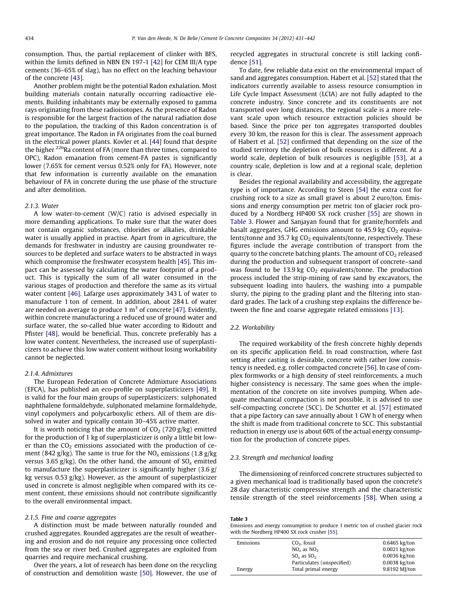<span id="page-3-0"></span>consumption. Thus, the partial replacement of clinker with BFS, within the limits defined in NBN EN 197-1 [\[42\]](#page-10-0) for CEM III/A type cements (36–65% of slag), has no effect on the leaching behaviour of the concrete [\[43\].](#page-10-0)

Another problem might be the potential Radon exhalation. Most building materials contain naturally occurring radioactive elements. Building inhabitants may be externally exposed to gamma rays originating from these radioisotopes. As the presence of Radon is responsible for the largest fraction of the natural radiation dose to the population, the tracking of this Radon concentration is of great importance. The Radon in FA originates from the coal burned in the electrical power plants. Kovler et al. [\[44\]](#page-10-0) found that despite the higher <sup>226</sup>Ra content of FA (more than three times, compared to OPC), Radon emanation from cement-FA pastes is significantly lower (7.65% for cement versus 0.52% only for FA). However, note that few information is currently available on the emanation behaviour of FA in concrete during the use phase of the structure and after demolition.

## 2.1.3. Water

A low water-to-cement (W/C) ratio is advised especially in more demanding applications. To make sure that the water does not contain organic substances, chlorides or alkalies, drinkable water is usually applied in practise. Apart from in agriculture, the demands for freshwater in industry are causing groundwater resources to be depleted and surface waters to be abstracted in ways which compromise the freshwater ecosystem health [\[45\]](#page-10-0). This impact can be assessed by calculating the water footprint of a product. This is typically the sum of all water consumed in the various stages of production and therefore the same as its virtual water content [\[46\].](#page-10-0) Lafarge uses approximately 343 L of water to manufacture 1 ton of cement. In addition, about 284 L of water are needed on average to produce 1  $m<sup>3</sup>$  of concrete [\[47\]](#page-10-0). Evidently, within concrete manufacturing a reduced use of ground water and surface water, the so-called blue water according to Ridoutt and Pfister [\[48\],](#page-10-0) would be beneficial. Thus, concrete preferably has a low water content. Nevertheless, the increased use of superplasticizers to achieve this low water content without losing workability cannot be neglected.

## 2.1.4. Admixtures

The European Federation of Concrete Admixture Associations (EFCA), has published an eco-profile on superplasticizers [\[49\].](#page-10-0) It is valid for the four main groups of superplasticizers: sulphonated naphthalene formaldehyde, sulphonated melamine formaldehyde, vinyl copolymers and polycarboxylic ethers. All of them are dissolved in water and typically contain 30–45% active matter.

It is worth noticing that the amount of  $CO<sub>2</sub>$  (720 g/kg) emitted for the production of 1 kg of superplasticizer is only a little bit lower than the  $CO<sub>2</sub>$  emissions associated with the production of cement (842 g/kg). The same is true for the  $NO<sub>x</sub>$  emissions (1.8 g/kg) versus 3.65 g/kg). On the other hand, the amount of  $SO<sub>x</sub>$  emitted to manufacture the superplasticizer is significantly higher (3.6 g/ kg versus 0.53 g/kg). However, as the amount of superplasticizer used in concrete is almost negligible when compared with its cement content, these emissions should not contribute significantly to the overall environmental impact.

## 2.1.5. Fine and coarse aggregates

A distinction must be made between naturally rounded and crushed aggregates. Rounded aggregates are the result of weathering and erosion and do not require any processing once collected from the sea or river bed. Crushed aggregates are exploited from quarries and require mechanical crushing.

Over the years, a lot of research has been done on the recycling of construction and demolition waste [\[50\].](#page-11-0) However, the use of recycled aggregates in structural concrete is still lacking confidence [\[51\]](#page-11-0).

To date, few reliable data exist on the environmental impact of sand and aggregates consumption. Habert et al. [\[52\]](#page-11-0) stated that the indicators currently available to assess resource consumption in Life Cycle Impact Assessment (LCIA) are not fully adapted to the concrete industry. Since concrete and its constituents are not transported over long distances, the regional scale is a more relevant scale upon which resource extraction policies should be based. Since the price per ton aggregates transported doubles every 30 km, the reason for this is clear. The assessment approach of Habert et al. [\[52\]](#page-11-0) confirmed that depending on the size of the studied territory the depletion of bulk resources is different. At a world scale, depletion of bulk resources is negligible [\[53\]](#page-11-0), at a country scale, depletion is low and at a regional scale, depletion is clear.

Besides the regional availability and accessibility, the aggregate type is of importance. According to Steen [\[54\]](#page-11-0) the extra cost for crushing rock to a size as small gravel is about 2 euro/ton. Emissions and energy consumption per metric ton of glacier rock produced by a Nordberg HP400 SX rock crusher [\[55\]](#page-11-0) are shown in Table 3. Flower and Sanjayan found that for granite/hornfels and basalt aggregates, GHG emissions amount to  $45.9$  kg  $CO<sub>2</sub>$  equivalents/tonne and 35.7 kg  $CO<sub>2</sub>$  equivalents/tonne, respectively. These figures include the average contribution of transport from the quarry to the concrete batching plants. The amount of  $CO<sub>2</sub>$  released during the production and subsequent transport of concrete–sand was found to be 13.9 kg  $CO<sub>2</sub>$  equivalents/tonne. The production process included the strip-mining of raw sand by excavators, the subsequent loading into haulers, the washing into a pumpable slurry, the piping to the grading plant and the filtering into standard grades. The lack of a crushing step explains the difference between the fine and coarse aggregate related emissions [\[13\].](#page-10-0)

#### 2.2. Workability

The required workability of the fresh concrete highly depends on its specific application field. In road construction, where fast setting after casting is desirable, concrete with rather low consistency is needed, e.g. roller compacted concrete [\[56\].](#page-11-0) In case of complex formworks or a high density of steel reinforcements, a much higher consistency is necessary. The same goes when the implementation of the concrete on site involves pumping. When adequate mechanical compaction is not possible, it is advised to use self-compacting concrete (SCC). De Schutter et al. [\[57\]](#page-11-0) estimated that a pipe factory can save annually about 1 GW h of energy when the shift is made from traditional concrete to SCC. This substantial reduction in energy use is about 60% of the actual energy consumption for the production of concrete pipes.

#### 2.3. Strength and mechanical loading

The dimensioning of reinforced concrete structures subjected to a given mechanical load is traditionally based upon the concrete's 28 day characteristic compressive strength and the characteristic tensile strength of the steel reinforcements [\[58\].](#page-11-0) When using a

#### Table 3

Emissions and energy consumption to produce 1 metric ton of crushed glacier rock with the Nordberg HP400 SX rock crusher [\[55\].](#page-11-0)

| Emissions | $CO2$ , fossil             | $0.6465$ kg/ton |
|-----------|----------------------------|-----------------|
|           | $NOx$ as $NO2$             | $0.0021$ kg/ton |
|           | $SOx$ as $SO2$             | $0.0036$ kg/ton |
|           | Particulates (unspecified) | $0.0038$ kg/ton |
| Energy    | Total primal energy        | 9.8192 MJ/ton   |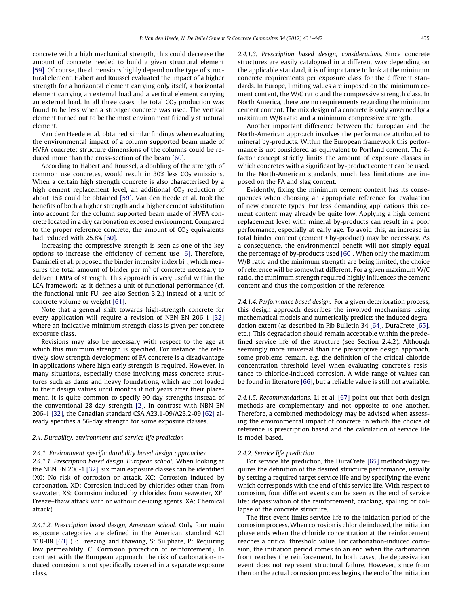concrete with a high mechanical strength, this could decrease the amount of concrete needed to build a given structural element [\[59\].](#page-11-0) Of course, the dimensions highly depend on the type of structural element. Habert and Roussel evaluated the impact of a higher strength for a horizontal element carrying only itself, a horizontal element carrying an external load and a vertical element carrying an external load. In all three cases, the total  $CO<sub>2</sub>$  production was found to be less when a stronger concrete was used. The vertical element turned out to be the most environment friendly structural element.

Van den Heede et al. obtained similar findings when evaluating the environmental impact of a column supported beam made of HVFA concrete: structure dimensions of the columns could be reduced more than the cross-section of the beam [\[60\].](#page-11-0)

According to Habert and Roussel, a doubling of the strength of common use concretes, would result in 30% less  $CO<sub>2</sub>$  emissions. When a certain high strength concrete is also characterised by a high cement replacement level, an additional  $CO<sub>2</sub>$  reduction of about 15% could be obtained [\[59\].](#page-11-0) Van den Heede et al. took the benefits of both a higher strength and a higher cement substitution into account for the column supported beam made of HVFA concrete located in a dry carbonation exposed environment. Compared to the proper reference concrete, the amount of  $CO<sub>2</sub>$  equivalents had reduced with 25.8% [\[60\].](#page-11-0)

Increasing the compressive strength is seen as one of the key options to increase the efficiency of cement use [\[6\]](#page-10-0). Therefore, Damineli et al. proposed the binder intensity index  $\delta$ i<sub>cs</sub> which measures the total amount of binder per  $m<sup>3</sup>$  of concrete necessary to deliver 1 MPa of strength. This approach is very useful within the LCA framework, as it defines a unit of functional performance (cf. the functional unit FU, see also Section 3.2.) instead of a unit of concrete volume or weight [\[61\]](#page-11-0).

Note that a general shift towards high-strength concrete for every application will require a revision of NBN EN 206-1 [\[32\]](#page-10-0) where an indicative minimum strength class is given per concrete exposure class.

Revisions may also be necessary with respect to the age at which this minimum strength is specified. For instance, the relatively slow strength development of FA concrete is a disadvantage in applications where high early strength is required. However, in many situations, especially those involving mass concrete structures such as dams and heavy foundations, which are not loaded to their design values until months if not years after their placement, it is quite common to specify 90-day strengths instead of the conventional 28-day strength [\[2\]](#page-10-0). In contrast with NBN EN 206-1 [\[32\],](#page-10-0) the Canadian standard CSA A23.1-09/A23.2-09 [\[62\]](#page-11-0) already specifies a 56-day strength for some exposure classes.

#### 2.4. Durability, environment and service life prediction

#### 2.4.1. Environment specific durability based design approaches

2.4.1.1. Prescription based design, European school. When looking at the NBN EN 206-1 [\[32\],](#page-10-0) six main exposure classes can be identified (X0: No risk of corrosion or attack, XC: Corrosion induced by carbonation, XD: Corrosion induced by chlorides other than from seawater, XS: Corrosion induced by chlorides from seawater, XF: Freeze–thaw attack with or without de-icing agents, XA: Chemical attack).

2.4.1.2. Prescription based design, American school. Only four main exposure categories are defined in the American standard ACI 318-08 [\[63\]](#page-11-0) (F: Freezing and thawing, S: Sulphate, P: Requiring low permeability, C: Corrosion protection of reinforcement). In contrast with the European approach, the risk of carbonation-induced corrosion is not specifically covered in a separate exposure class.

2.4.1.3. Prescription based design, considerations. Since concrete structures are easily catalogued in a different way depending on the applicable standard, it is of importance to look at the minimum concrete requirements per exposure class for the different standards. In Europe, limiting values are imposed on the minimum cement content, the W/C ratio and the compressive strength class. In North America, there are no requirements regarding the minimum cement content. The mix design of a concrete is only governed by a maximum W/B ratio and a minimum compressive strength.

Another important difference between the European and the North-American approach involves the performance attributed to mineral by-products. Within the European framework this performance is not considered as equivalent to Portland cement. The kfactor concept strictly limits the amount of exposure classes in which concretes with a significant by-product content can be used. In the North-American standards, much less limitations are imposed on the FA and slag content.

Evidently, fixing the minimum cement content has its consequences when choosing an appropriate reference for evaluation of new concrete types. For less demanding applications this cement content may already be quite low. Applying a high cement replacement level with mineral by-products can result in a poor performance, especially at early age. To avoid this, an increase in total binder content (cement + by-product) may be necessary. As a consequence, the environmental benefit will not simply equal the percentage of by-products used [\[60\].](#page-11-0) When only the maximum W/B ratio and the minimum strength are being limited, the choice of reference will be somewhat different. For a given maximum W/C ratio, the minimum strength required highly influences the cement content and thus the composition of the reference.

2.4.1.4. Performance based design. For a given deterioration process, this design approach describes the involved mechanisms using mathematical models and numerically predicts the induced degradation extent (as described in Fib Bulletin 34 [\[64\]](#page-11-0), DuraCrete [\[65\],](#page-11-0) etc.). This degradation should remain acceptable within the predefined service life of the structure (see Section 2.4.2). Although seemingly more universal than the prescriptive design approach, some problems remain, e.g. the definition of the critical chloride concentration threshold level when evaluating concrete's resistance to chloride-induced corrosion. A wide range of values can be found in literature [\[66\]](#page-11-0), but a reliable value is still not available.

2.4.1.5. Recommendations. Li et al. [\[67\]](#page-11-0) point out that both design methods are complementary and not opposite to one another. Therefore, a combined methodology may be advised when assessing the environmental impact of concrete in which the choice of reference is prescription based and the calculation of service life is model-based.

#### 2.4.2. Service life prediction

For service life prediction, the DuraCrete [\[65\]](#page-11-0) methodology requires the definition of the desired structure performance, usually by setting a required target service life and by specifying the event which corresponds with the end of this service life. With respect to corrosion, four different events can be seen as the end of service life: depassivation of the reinforcement, cracking, spalling or collapse of the concrete structure.

The first event limits service life to the initiation period of the corrosion process.When corrosion is chloride induced, the initiation phase ends when the chloride concentration at the reinforcement reaches a critical threshold value. For carbonation-induced corrosion, the initiation period comes to an end when the carbonation front reaches the reinforcement. In both cases, the depassivation event does not represent structural failure. However, since from then on the actual corrosion process begins, the end of the initiation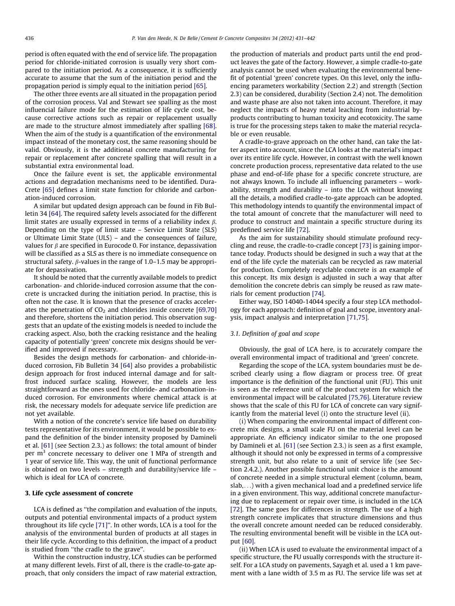period is often equated with the end of service life. The propagation period for chloride-initiated corrosion is usually very short compared to the initiation period. As a consequence, it is sufficiently accurate to assume that the sum of the initiation period and the propagation period is simply equal to the initiation period [\[65\]](#page-11-0).

The other three events are all situated in the propagation period of the corrosion process. Val and Stewart see spalling as the most influencial failure mode for the estimation of life cycle cost, because corrective actions such as repair or replacement usually are made to the structure almost immediately after spalling [\[68\].](#page-11-0) When the aim of the study is a quantification of the environmental impact instead of the monetary cost, the same reasoning should be valid. Obviously, it is the additional concrete manufacturing for repair or replacement after concrete spalling that will result in a substantial extra environmental load.

Once the failure event is set, the applicable environmental actions and degradation mechanisms need to be identified. Dura-Crete [\[65\]](#page-11-0) defines a limit state function for chloride and carbonation-induced corrosion.

A similar but updated design approach can be found in Fib Bulletin 34 [\[64\]](#page-11-0). The required safety levels associated for the different limit states are usually expressed in terms of a reliability index  $\beta$ . Depending on the type of limit state – Service Limit State (SLS) or Ultimate Limit State (ULS) – and the consequences of failure, values for  $\beta$  are specified in Eurocode 0. For instance, depassivation will be classified as a SLS as there is no immediate consequence on structural safety.  $\beta$ -values in the range of 1.0–1.5 may be appropriate for depassivation.

It should be noted that the currently available models to predict carbonation- and chloride-induced corrosion assume that the concrete is uncracked during the initiation period. In practise, this is often not the case. It is known that the presence of cracks accelerates the penetration of  $CO<sub>2</sub>$  and chlorides inside concrete [\[69,70\]](#page-11-0) and therefore, shortens the initiation period. This observation suggests that an update of the existing models is needed to include the cracking aspect. Also, both the cracking resistance and the healing capacity of potentially 'green' concrete mix designs should be verified and improved if necessary.

Besides the design methods for carbonation- and chloride-induced corrosion, Fib Bulletin 34 [\[64\]](#page-11-0) also provides a probabilistic design approach for frost induced internal damage and for saltfrost induced surface scaling. However, the models are less straightforward as the ones used for chloride- and carbonation-induced corrosion. For environments where chemical attack is at risk, the necessary models for adequate service life prediction are not yet available.

With a notion of the concrete's service life based on durability tests representative for its environment, it would be possible to expand the definition of the binder intensity proposed by Damineli et al. [\[61\]](#page-11-0) (see Section 2.3.) as follows: the total amount of binder per  $m<sup>3</sup>$  concrete necessary to deliver one 1 MPa of strength and 1 year of service life. This way, the unit of functional performance is obtained on two levels – strength and durability/service life – which is ideal for LCA of concrete.

## 3. Life cycle assessment of concrete

LCA is defined as ''the compilation and evaluation of the inputs, outputs and potential environmental impacts of a product system throughout its life cycle [\[71\]'](#page-11-0)'. In other words, LCA is a tool for the analysis of the environmental burden of products at all stages in their life cycle. According to this definition, the impact of a product is studied from ''the cradle to the grave''.

Within the construction industry, LCA studies can be performed at many different levels. First of all, there is the cradle-to-gate approach, that only considers the impact of raw material extraction, the production of materials and product parts until the end product leaves the gate of the factory. However, a simple cradle-to-gate analysis cannot be used when evaluating the environmental benefit of potential 'green' concrete types. On this level, only the influencing parameters workability (Section 2.2) and strength (Section 2.3) can be considered, durability (Section 2.4) not. The demolition and waste phase are also not taken into account. Therefore, it may neglect the impacts of heavy metal leaching from industrial byproducts contributing to human toxicity and ecotoxicity. The same is true for the processing steps taken to make the material recyclable or even reusable.

A cradle-to-grave approach on the other hand, can take the latter aspect into account, since the LCA looks at the material's impact over its entire life cycle. However, in contrast with the well known concrete production process, representative data related to the use phase and end-of-life phase for a specific concrete structure, are not always known. To include all influencing parameters – workability, strength and durability – into the LCA without knowing all the details, a modified cradle-to-gate approach can be adopted. This methodology intends to quantify the environmental impact of the total amount of concrete that the manufacturer will need to produce to construct and maintain a specific structure during its predefined service life [\[72\].](#page-11-0)

As the aim for sustainability should stimulate profound recycling and reuse, the cradle-to-cradle concept [\[73\]](#page-11-0) is gaining importance today. Products should be designed in such a way that at the end of the life cycle the materials can be recycled as raw material for production. Completely recyclable concrete is an example of this concept. Its mix design is adjusted in such a way that after demolition the concrete debris can simply be reused as raw materials for cement production [\[74\]](#page-11-0).

Either way, ISO 14040-14044 specify a four step LCA methodology for each approach: definition of goal and scope, inventory analysis, impact analysis and interpretation [\[71,75\]](#page-11-0).

## 3.1. Definition of goal and scope

Obviously, the goal of LCA here, is to accurately compare the overall environmental impact of traditional and 'green' concrete.

Regarding the scope of the LCA, system boundaries must be described clearly using a flow diagram or process tree. Of great importance is the definition of the functional unit (FU). This unit is seen as the reference unit of the product system for which the environmental impact will be calculated [\[75,76\]](#page-11-0). Literature review shows that the scale of this FU for LCA of concrete can vary significantly from the material level (i) onto the structure level (ii).

(i) When comparing the environmental impact of different concrete mix designs, a small scale FU on the material level can be appropriate. An efficiency indicator similar to the one proposed by Damineli et al. [\[61\]](#page-11-0) (see Section 2.3.) is seen as a first example, although it should not only be expressed in terms of a compressive strength unit, but also relate to a unit of service life (see Section 2.4.2.). Another possible functional unit choice is the amount of concrete needed in a simple structural element (column, beam, slab,...) with a given mechanical load and a predefined service life in a given environment. This way, additional concrete manufacturing due to replacement or repair over time, is included in the LCA [\[72\]](#page-11-0). The same goes for differences in strength. The use of a high strength concrete implicates that structure dimensions and thus the overall concrete amount needed can be reduced considerably. The resulting environmental benefit will be visible in the LCA output [\[60\].](#page-11-0)

(ii) When LCA is used to evaluate the environmental impact of a specific structure, the FU usually corresponds with the structure itself. For a LCA study on pavements, Sayagh et al. used a 1 km pavement with a lane width of 3.5 m as FU. The service life was set at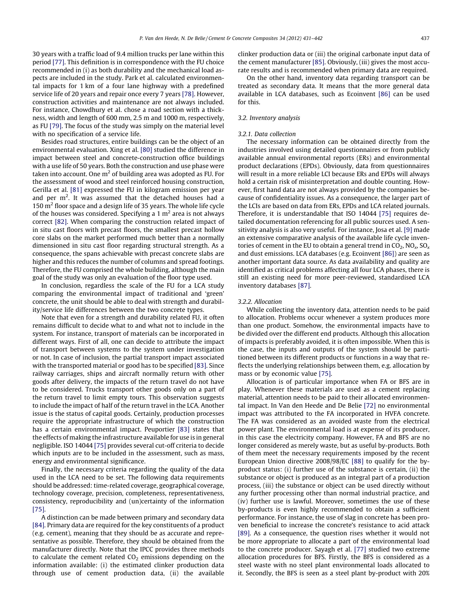30 years with a traffic load of 9.4 million trucks per lane within this period [\[77\]](#page-11-0). This definition is in correspondence with the FU choice recommended in (i) as both durability and the mechanical load aspects are included in the study. Park et al. calculated environmental impacts for 1 km of a four lane highway with a predefined service life of 20 years and repair once every 7 years [\[78\].](#page-11-0) However, construction activities and maintenance are not always included. For instance, Chowdhury et al. chose a road section with a thickness, width and length of 600 mm, 2.5 m and 1000 m, respectively, as FU [\[79\].](#page-11-0) The focus of the study was simply on the material level with no specification of a service life.

Besides road structures, entire buildings can be the object of an environmental evaluation. Xing et al. [\[80\]](#page-11-0) studied the difference in impact between steel and concrete-construction office buildings with a use life of 50 years. Both the construction and use phase were taken into account. One  $m<sup>2</sup>$  of building area was adopted as FU. For the assessment of wood and steel reinforced housing construction, Gerilla et al. [\[81\]](#page-11-0) expressed the FU in kilogram emission per year and per  $m^2$ . It was assumed that the detached houses had a 150  $m<sup>2</sup>$  floor space and a design life of 35 years. The whole life cycle of the houses was considered. Specifying a 1  $m<sup>2</sup>$  area is not always correct [\[82\]](#page-11-0). When comparing the construction related impact of in situ cast floors with precast floors, the smallest precast hollow core slabs on the market performed much better than a normally dimensioned in situ cast floor regarding structural strength. As a consequence, the spans achievable with precast concrete slabs are higher and this reduces the number of columns and spread footings. Therefore, the FU comprised the whole building, although the main goal of the study was only an evaluation of the floor type used.

In conclusion, regardless the scale of the FU for a LCA study comparing the environmental impact of traditional and 'green' concrete, the unit should be able to deal with strength and durability/service life differences between the two concrete types.

Note that even for a strength and durability related FU, it often remains difficult to decide what to and what not to include in the system. For instance, transport of materials can be incorporated in different ways. First of all, one can decide to attribute the impact of transport between systems to the system under investigation or not. In case of inclusion, the partial transport impact associated with the transported material or good has to be specified [\[83\]](#page-11-0). Since railway carriages, ships and aircraft normally return with other goods after delivery, the impacts of the return travel do not have to be considered. Trucks transport other goods only on a part of the return travel to limit empty tours. This observation suggests to include the impact of half of the return travel in the LCA. Another issue is the status of capital goods. Certainly, production processes require the appropriate infrastructure of which the construction has a certain environmental impact. Peuportier [\[83\]](#page-11-0) states that the effects of making the infrastructure available for use is in general negligible. ISO 14044 [\[75\]](#page-11-0) provides several cut-off criteria to decide which inputs are to be included in the assessment, such as mass, energy and environmental significance.

Finally, the necessary criteria regarding the quality of the data used in the LCA need to be set. The following data requirements should be addressed: time-related coverage, geographical coverage, technology coverage, precision, completeness, representativeness, consistency, reproducibility and (un)certainty of the information [\[75\].](#page-11-0)

A distinction can be made between primary and secondary data [\[84\].](#page-11-0) Primary data are required for the key constituents of a product (e.g. cement), meaning that they should be as accurate and representative as possible. Therefore, they should be obtained from the manufacturer directly. Note that the IPCC provides three methods to calculate the cement related  $CO<sub>2</sub>$  emissions depending on the information available: (i) the estimated clinker production data through use of cement production data, (ii) the available clinker production data or (iii) the original carbonate input data of the cement manufacturer [\[85\].](#page-11-0) Obviously, (iii) gives the most accurate results and is recommended when primary data are required.

On the other hand, inventory data regarding transport can be treated as secondary data. It means that the more general data available in LCA databases, such as Ecoinvent [\[86\]](#page-11-0) can be used for this.

## 3.2. Inventory analysis

## 3.2.1. Data collection

The necessary information can be obtained directly from the industries involved using detailed questionnaires or from publicly available annual environmental reports (ERs) and environmental product declarations (EPDs). Obviously, data from questionnaires will result in a more reliable LCI because ERs and EPDs will always hold a certain risk of misinterpretation and double counting. However, first hand data are not always provided by the companies because of confidentiality issues. As a consequence, the larger part of the LCIs are based on data from ERs, EPDs and LCA related journals. Therefore, it is understandable that ISO 14044 [\[75\]](#page-11-0) requires detailed documentation referencing for all public sources used. A sensitivity analysis is also very useful. For instance, Josa et al. [\[9\]](#page-10-0) made an extensive comparative analysis of the available life cycle inventories of cement in the EU to obtain a general trend in  $CO_2$ ,  $NO_x$ ,  $SO_x$ and dust emissions. LCA databases (e.g. Ecoinvent [\[86\]](#page-11-0)) are seen as another important data source. As data availability and quality are identified as critical problems affecting all four LCA phases, there is still an existing need for more peer-reviewed, standardised LCA inventory databases [\[87\].](#page-11-0)

#### 3.2.2. Allocation

While collecting the inventory data, attention needs to be paid to allocation. Problems occur whenever a system produces more than one product. Somehow, the environmental impacts have to be divided over the different end products. Although this allocation of impacts is preferably avoided, it is often impossible. When this is the case, the inputs and outputs of the system should be partitioned between its different products or functions in a way that reflects the underlying relationships between them, e.g. allocation by mass or by economic value [\[75\]](#page-11-0).

Allocation is of particular importance when FA or BFS are in play. Whenever these materials are used as a cement replacing material, attention needs to be paid to their allocated environmental impact. In Van den Heede and De Belie [\[72\]](#page-11-0) no environmental impact was attributed to the FA incorporated in HVFA concrete. The FA was considered as an avoided waste from the electrical power plant. The environmental load is at expense of its producer, in this case the electricity company. However, FA and BFS are no longer considered as merely waste, but as useful by-products. Both of them meet the necessary requirements imposed by the recent European Union directive 2008/98/EC [\[88\]](#page-11-0) to qualify for the byproduct status: (i) further use of the substance is certain, (ii) the substance or object is produced as an integral part of a production process, (iii) the substance or object can be used directly without any further processing other than normal industrial practice, and (iv) further use is lawful. Moreover, sometimes the use of these by-products is even highly recommended to obtain a sufficient performance. For instance, the use of slag in concrete has been proven beneficial to increase the concrete's resistance to acid attack [\[89\]](#page-11-0). As a consequence, the question rises whether it would not be more appropriate to allocate a part of the environmental load to the concrete producer. Sayagh et al. [\[77\]](#page-11-0) studied two extreme allocation procedures for BFS. Firstly, the BFS is considered as a steel waste with no steel plant environmental loads allocated to it. Secondly, the BFS is seen as a steel plant by-product with 20%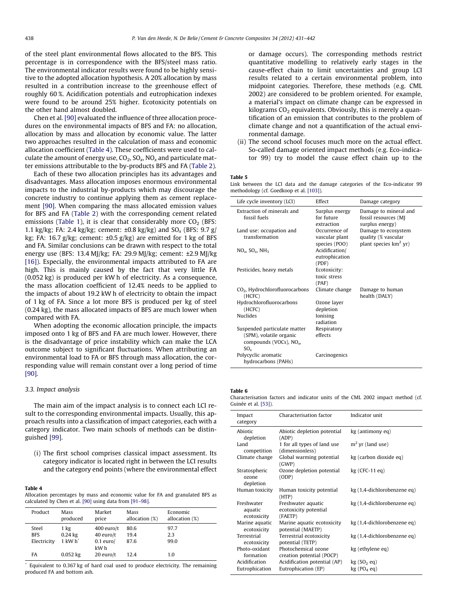<span id="page-7-0"></span>of the steel plant environmental flows allocated to the BFS. This percentage is in correspondence with the BFS/steel mass ratio. The environmental indicator results were found to be highly sensitive to the adopted allocation hypothesis. A 20% allocation by mass resulted in a contribution increase to the greenhouse effect of roughly 60 %. Acidification potentials and eutrophication indexes were found to be around 25% higher. Ecotoxicity potentials on the other hand almost doubled.

Chen et al. [\[90\]](#page-11-0) evaluated the influence of three allocation procedures on the environmental impacts of BFS and FA: no allocation, allocation by mass and allocation by economic value. The latter two approaches resulted in the calculation of mass and economic allocation coefficient (Table 4). These coefficients were used to calculate the amount of energy use,  $CO_2$ ,  $SO_x$ ,  $NO_x$  and particulate matter emissions attributable to the by-products BFS and FA [\(Table 2](#page-2-0)).

Each of these two allocation principles has its advantages and disadvantages. Mass allocation imposes enormous environmental impacts to the industrial by-products which may discourage the concrete industry to continue applying them as cement replacement [\[90\]](#page-11-0). When comparing the mass allocated emission values for BFS and FA ([Table 2](#page-2-0)) with the corresponding cement related emissions [\(Table 1\)](#page-1-0), it is clear that considerably more  $CO<sub>2</sub>$  (BFS: 1.1 kg/kg; FA: 2.4 kg/kg; cement:  $\pm 0.8$  kg/kg) and SO<sub>x</sub> (BFS: 9.7 g/ kg; FA:  $16.7$  g/kg; cement:  $\pm 0.5$  g/kg) are emitted for 1 kg of BFS and FA. Similar conclusions can be drawn with respect to the total energy use (BFS: 13.4 MJ/kg; FA: 29.9 MJ/kg; cement: ±2.9 MJ/kg [\[16\]](#page-10-0)). Especially, the environmental impacts attributed to FA are high. This is mainly caused by the fact that very little FA (0.052 kg) is produced per kW h of electricity. As a consequence, the mass allocation coefficient of 12.4% needs to be applied to the impacts of about 19.2 kW h of electricity to obtain the impact of 1 kg of FA. Since a lot more BFS is produced per kg of steel (0.24 kg), the mass allocated impacts of BFS are much lower when compared with FA.

When adopting the economic allocation principle, the impacts imposed onto 1 kg of BFS and FA are much lower. However, there is the disadvantage of price instability which can make the LCA outcome subject to significant fluctuations. When attributing an environmental load to FA or BFS through mass allocation, the corresponding value will remain constant over a long period of time [\[90\]](#page-11-0).

## 3.3. Impact analysis

The main aim of the impact analysis is to connect each LCI result to the corresponding environmental impacts. Usually, this approach results into a classification of impact categories, each with a category indicator. Two main schools of methods can be distinguished [\[99\]](#page-11-0).

(i) The first school comprises classical impact assessment. Its category indicator is located right in between the LCI results and the category end points (where the environmental effect

#### Table 4

Allocation percentages by mass and economic value for FA and granulated BFS as calculated by Chen et al. [\[90\]](#page-11-0) using data from [\[91–98\].](#page-11-0)

| Product                            | Mass<br>produced                  | Market<br>price                                    | Mass<br>allocation $(\%)$ | Economic<br>allocation $(\%)$ |
|------------------------------------|-----------------------------------|----------------------------------------------------|---------------------------|-------------------------------|
| Steel<br><b>BFS</b><br>Electricity | 1 kg<br>$0.24$ kg<br>$1$ kW $h^*$ | $400$ euro/t<br>$40$ euro/t<br>$0.1$ euro/<br>kW h | 80.6<br>19.4<br>87.6      | 97.7<br>2.3<br>99.0           |
| FA                                 | $0.052$ kg                        | $20$ euro/t                                        | 12.4                      | 1.0                           |

\* Equivalent to 0.367 kg of hard coal used to produce electricity. The remaining produced FA and bottom ash.

or damage occurs). The corresponding methods restrict quantitative modelling to relatively early stages in the cause-effect chain to limit uncertainties and group LCI results related to a certain environmental problem, into midpoint categories. Therefore, these methods (e.g. CML 2002) are considered to be problem oriented. For example, a material's impact on climate change can be expressed in kilograms  $CO<sub>2</sub>$  equivalents. Obviously, this is merely a quantification of an emission that contributes to the problem of climate change and not a quantification of the actual environmental damage.

(ii) The second school focuses much more on the actual effect. So-called damage oriented impact methods (e.g. Eco-indicator 99) try to model the cause effect chain up to the

#### Table 5

Link between the LCI data and the damage categories of the Eco-indicator 99 methodology (cf. Goedkoop et al. [\[103\]](#page-11-0)).

| Life cycle inventory (LCI)                                                                                 | Effect                                           | Damage category                                                        |
|------------------------------------------------------------------------------------------------------------|--------------------------------------------------|------------------------------------------------------------------------|
| Extraction of minerals and<br>fossil fuels                                                                 | Surplus energy<br>for future<br>extraction       | Damage to mineral and<br>fossil resources (MJ<br>surplus energy)       |
| Land use: occupation and<br>transformation                                                                 | Occurrence of<br>vascular plant<br>species (POO) | Damage to ecosystem<br>quality (% vascular<br>plant species $km^2$ yr) |
| $NO_x$ , $SO_x$ , $NH_3$                                                                                   | Acidification/<br>eutrophication<br>(PDF)        |                                                                        |
| Pesticides, heavy metals                                                                                   | Ecotoxicity:<br>toxic stress<br>(PAF)            |                                                                        |
| $CO2$ , Hydrochlorofluorocarbons<br>(HCFC)                                                                 | Climate change                                   | Damage to human<br>health (DALY)                                       |
| Hydrochlorofluorocarbons<br>(HCFC)                                                                         | Ozone layer<br>depletion                         |                                                                        |
| <b>Nuclides</b>                                                                                            | Ionising<br>radiation                            |                                                                        |
| Suspended particulate matter<br>(SPM), volatile organic<br>compounds (VOCs), NO <sub>x</sub> ,<br>$SO_{x}$ | Respiratory<br>effects                           |                                                                        |
| Polycyclic aromatic<br>hydrocarbons (PAHs)                                                                 | Carcinogenics                                    |                                                                        |

#### Table 6

Characterisation factors and indicator units of the CML 2002 impact method (cf. Guinée et al. [\[53\]](#page-11-0)).

| Impact<br>category                   | Characterisation factor                                | Indicator unit                                    |
|--------------------------------------|--------------------------------------------------------|---------------------------------------------------|
| Abiotic<br>depletion                 | Abiotic depletion potential<br>(ADP)                   | kg (antimony eq)                                  |
| Land<br>competition                  | 1 for all types of land use<br>(dimensionless)         | $m2$ yr (land use)                                |
| Climate change                       | Global warming potential<br>(GWP)                      | kg (carbon dioxide eq)                            |
| Stratospheric<br>ozone<br>depletion  | Ozone depletion potential<br>(ODP)                     | $kg$ (CFC-11 eq)                                  |
| Human toxicity                       | Human toxicity potential<br>(HTP)                      | kg (1,4-dichlorobenzene eq)                       |
| Freshwater<br>aquatic<br>ecotoxicity | Freshwater aquatic<br>ecotoxicity potential<br>(FAETP) | kg (1,4-dichlorobenzene eq)                       |
| Marine aquatic<br>ecotoxicity        | Marine aquatic ecotoxicity<br>potential (MAETP)        | kg (1,4-dichlorobenzene eq)                       |
| Terrestrial<br>ecotoxicity           | Terrestrial ecotoxicity<br>potential (TETP)            | kg (1,4-dichlorobenzene eq)                       |
| Photo-oxidant<br>formation           | Photochemical ozone<br>creation potential (POCP)       | kg (ethylene eq)                                  |
| Acidification<br>Eutrophication      | Acidification potential (AP)<br>Eutrophication (EP)    | kg(SO <sub>2</sub> eq)<br>kg (PO <sub>4</sub> eq) |
|                                      |                                                        |                                                   |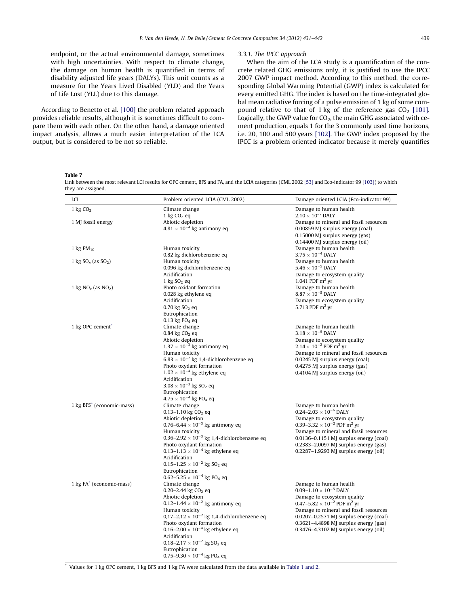<span id="page-8-0"></span>endpoint, or the actual environmental damage, sometimes with high uncertainties. With respect to climate change, the damage on human health is quantified in terms of disability adjusted life years (DALYs). This unit counts as a measure for the Years Lived Disabled (YLD) and the Years of Life Lost (YLL) due to this damage.

According to Benetto et al. [\[100\]](#page-11-0) the problem related approach provides reliable results, although it is sometimes difficult to compare them with each other. On the other hand, a damage oriented impact analysis, allows a much easier interpretation of the LCA output, but is considered to be not so reliable.

#### 3.3.1. The IPCC approach

When the aim of the LCA study is a quantification of the concrete related GHG emissions only, it is justified to use the IPCC 2007 GWP impact method. According to this method, the corresponding Global Warming Potential (GWP) index is calculated for every emitted GHG. The index is based on the time-integrated global mean radiative forcing of a pulse emission of 1 kg of some compound relative to that of 1 kg of the reference gas  $CO<sub>2</sub>$  [\[101\].](#page-11-0) Logically, the GWP value for  $CO<sub>2</sub>$ , the main GHG associated with cement production, equals 1 for the 3 commonly used time horizons, i.e. 20, 100 and 500 years [\[102\].](#page-11-0) The GWP index proposed by the IPCC is a problem oriented indicator because it merely quantifies

Table 7

Link between the most relevant LCI results for OPC cement, BFS and FA, and the LCIA categories (CML 2002 [\[53\]](#page-11-0) and Eco-indicator 99 [\[103\]](#page-11-0)) to which they are assigned.

| LCI                                   | Problem oriented LCIA (CML 2002)                                    | Damage oriented LCIA (Eco-indicator 99)                   |
|---------------------------------------|---------------------------------------------------------------------|-----------------------------------------------------------|
| 1 kg $CO2$                            | Climate change                                                      | Damage to human health                                    |
|                                       | 1 kg $CO2$ eq                                                       | $2.10 \times 10^{-7}$ DALY                                |
| 1 MJ fossil energy                    | Abiotic depletion                                                   | Damage to mineral and fossil resources                    |
|                                       | $4.81 \times 10^{-4}$ kg antimony eq                                | 0.00859 MJ surplus energy (coal)                          |
|                                       |                                                                     | 0.15000 MJ surplus energy (gas)                           |
|                                       |                                                                     | 0.14400 MJ surplus energy (oil)                           |
| 1 kg $PM_{10}$                        | Human toxicity                                                      | Damage to human health                                    |
|                                       | 0.82 kg dichlorobenzene eq                                          | $3.75 \times 10^{-4}$ DALY                                |
| 1 kg $SO_x$ (as $SO_2$ )              | Human toxicity                                                      | Damage to human health                                    |
|                                       | 0.096 kg dichlorobenzene eq                                         | $5.46 \times 10^{-5}$ DALY                                |
|                                       | Acidification                                                       | Damage to ecosystem quality                               |
|                                       | 1 kg $SO2$ eq                                                       | 1.041 PDF $m2$ yr                                         |
| 1 kg $NOx$ (as $NO2$ )                | Photo oxidant formation                                             | Damage to human health                                    |
|                                       | 0.028 kg ethylene eq                                                | $8.87\times10^{-5}$ DALY                                  |
|                                       | Acidification                                                       | Damage to ecosystem quality                               |
|                                       | $0.70 \text{ kg }$ SO <sub>2</sub> eq                               | 5.713 PDF $m2$ yr                                         |
|                                       | Eutrophication                                                      |                                                           |
|                                       | $0.13$ kg PO <sub>4</sub> eq                                        |                                                           |
| 1 kg OPC cement <sup>*</sup>          | Climate change                                                      | Damage to human health                                    |
|                                       | $0.84$ kg $CO2$ eq                                                  | $3.18 \times 10^{-5}$ DALY                                |
|                                       | Abiotic depletion                                                   | Damage to ecosystem quality                               |
|                                       | $1.37 \times 10^{-3}$ kg antimony eq                                | $2.14 \times 10^{-2}$ PDF m <sup>2</sup> yr               |
|                                       | Human toxicity                                                      | Damage to mineral and fossil resources                    |
|                                       | $6.83 \times 10^{-2}$ kg 1,4-dichlorobenzene eq                     | 0.0245 MJ surplus energy (coal)                           |
|                                       | Photo oxydant formation                                             | 0.4275 MJ surplus energy (gas)                            |
|                                       | $1.02 \times 10^{-4}$ kg ethylene eq                                | 0.4104 MJ surplus energy (oil)                            |
|                                       | Acidification                                                       |                                                           |
|                                       | $3.08 \times 10^{-3}$ kg SO <sub>2</sub> eq                         |                                                           |
|                                       | Eutrophication                                                      |                                                           |
|                                       | $4.75 \times 10^{-4}$ kg PO <sub>4</sub> eq                         |                                                           |
| 1 kg BFS <sup>*</sup> (economic-mass) | Climate change                                                      | Damage to human health                                    |
|                                       | 0.13-1.10 kg $CO2$ eq                                               | $0.24 - 2.03 \times 10^{-6}$ DALY                         |
|                                       | Abiotic depletion                                                   | Damage to ecosystem quality                               |
|                                       | 0.76–6.44 $\times$ 10 <sup>–3</sup> kg antimony eq                  | 0.39-3.32 $\times$ 10 <sup>-2</sup> PDF m <sup>2</sup> yr |
|                                       | Human toxicity                                                      | Damage to mineral and fossil resources                    |
|                                       | 0.36-2.92 $\times$ 10 <sup>-3</sup> kg 1,4-dichlorobenzene eq       | $0.0136 - 0.1151$ MJ surplus energy (coal)                |
|                                       | Photo oxydant formation                                             | $0.2383 - 2.0097$ MJ surplus energy (gas)                 |
|                                       | 0.13–1.13 $\times$ 10 <sup>-4</sup> kg ethylene eq                  | $0.2287 - 1.9293$ MJ surplus energy (oil)                 |
|                                       | Acidification<br>$0.15 - 1.25 \times 10^{-2}$ kg SO <sub>2</sub> eq |                                                           |
|                                       | Eutrophication                                                      |                                                           |
|                                       | $0.62 - 5.25 \times 10^{-4}$ kg PO <sub>4</sub> eq                  |                                                           |
| 1 kg FA <sup>*</sup> (economic-mass)  | Climate change                                                      | Damage to human health                                    |
|                                       | 0.20-2.44 kg $CO2$ eq                                               | $0.09 - 1.10 \times 10^{-5}$ DALY                         |
|                                       | Abiotic depletion                                                   | Damage to ecosystem quality                               |
|                                       | 0.12-1.44 $\times$ 10 <sup>-2</sup> kg antimony eq                  | $0.47 - 5.82 \times 10^{-2}$ PDF m <sup>2</sup> yr        |
|                                       | Human toxicity                                                      | Damage to mineral and fossil resources                    |
|                                       | 0,17-2.12 $\times$ 10 <sup>-2</sup> kg 1,4-dichlorobenzene eq       | $0.0207 - 0.2571$ MJ surplus energy (coal)                |
|                                       | Photo oxydant formation                                             | $0.3621 - 4.4898$ MJ surplus energy (gas)                 |
|                                       | 0.16-2.00 $\times$ 10 <sup>-4</sup> kg ethylene eq                  | $0.3476 - 4.3102$ MJ surplus energy (oil)                 |
|                                       | Acidification                                                       |                                                           |
|                                       | $0.18\text{--}2.17\times10^{-2}\text{ kg SO}_2$ eq                  |                                                           |
|                                       | Eutrophication                                                      |                                                           |
|                                       | $0.75 - 9.30 \times 10^{-4}$ kg PO <sub>4</sub> eq                  |                                                           |
|                                       |                                                                     |                                                           |

Values for 1 kg OPC cement, 1 kg BFS and 1 kg FA were calculated from the data available in [Table 1 and 2](#page-1-0).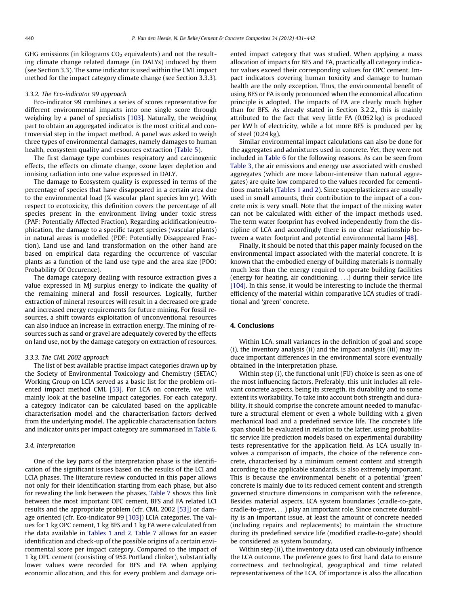GHG emissions (in kilograms  $CO<sub>2</sub>$  equivalents) and not the resulting climate change related damage (in DALYs) induced by them (see Section 3.3). The same indicator is used within the CML impact method for the impact category climate change (see Section 3.3.3).

#### 3.3.2. The Eco-indicator 99 approach

Eco-indicator 99 combines a series of scores representative for different environmental impacts into one single score through weighing by a panel of specialists [\[103\].](#page-11-0) Naturally, the weighing part to obtain an aggregated indicator is the most critical and controversial step in the impact method. A panel was asked to weigh three types of environmental damages, namely damages to human health, ecosystem quality and resources extraction ([Table 5](#page-7-0)).

The first damage type combines respiratory and carcinogenic effects, the effects on climate change, ozone layer depletion and ionising radiation into one value expressed in DALY.

The damage to Ecosystem quality is expressed in terms of the percentage of species that have disappeared in a certain area due to the environmental load (% vascular plant species km yr). With respect to ecotoxicity, this definition covers the percentage of all species present in the environment living under toxic stress (PAF: Potentially Affected Fraction). Regarding acidification/eutrophication, the damage to a specific target species (vascular plants) in natural areas is modelled (PDF: Potentially Disappeared Fraction). Land use and land transformation on the other hand are based on empirical data regarding the occurrence of vascular plants as a function of the land use type and the area size (POO: Probability Of Occurence).

The damage category dealing with resource extraction gives a value expressed in MJ surplus energy to indicate the quality of the remaining mineral and fossil resources. Logically, further extraction of mineral resources will result in a decreased ore grade and increased energy requirements for future mining. For fossil resources, a shift towards exploitation of unconventional resources can also induce an increase in extraction energy. The mining of resources such as sand or gravel are adequately covered by the effects on land use, not by the damage category on extraction of resources.

## 3.3.3. The CML 2002 approach

The list of best available practise impact categories drawn up by the Society of Environmental Toxicology and Chemistry (SETAC) Working Group on LCIA served as a basic list for the problem oriented impact method CML [\[53\]](#page-11-0). For LCA on concrete, we will mainly look at the baseline impact categories. For each category, a category indicator can be calculated based on the applicable characterisation model and the characterisation factors derived from the underlying model. The applicable characterisation factors and indicator units per impact category are summarised in [Table 6.](#page-7-0)

#### 3.4. Interpretation

One of the key parts of the interpretation phase is the identification of the significant issues based on the results of the LCI and LCIA phases. The literature review conducted in this paper allows not only for their identification starting from each phase, but also for revealing the link between the phases. [Table 7](#page-8-0) shows this link between the most important OPC cement, BFS and FA related LCI results and the appropriate problem (cfr. CML 2002 [\[53\]\)](#page-11-0) or damage oriented (cfr. Eco-indicator 99 [\[103\]](#page-11-0)) LCIA categories. The values for 1 kg OPC cement, 1 kg BFS and 1 kg FA were calculated from the data available in [Tables 1 and 2.](#page-1-0) [Table 7](#page-8-0) allows for an easier identification and check-up of the possible origins of a certain environmental score per impact category. Compared to the impact of 1 kg OPC cement (consisting of 95% Portland clinker), substantially lower values were recorded for BFS and FA when applying economic allocation, and this for every problem and damage oriented impact category that was studied. When applying a mass allocation of impacts for BFS and FA, practically all category indicator values exceed their corresponding values for OPC cement. Impact indicators covering human toxicity and damage to human health are the only exception. Thus, the environmental benefit of using BFS or FA is only pronounced when the economical allocation principle is adopted. The impacts of FA are clearly much higher than for BFS. As already stated in Section 3.2.2., this is mainly attributed to the fact that very little FA (0.052 kg) is produced per kW h of electricity, while a lot more BFS is produced per kg of steel (0.24 kg).

Similar environmental impact calculations can also be done for the aggregates and admixtures used in concrete. Yet, they were not included in [Table 6](#page-7-0) for the following reasons. As can be seen from [Table 3](#page-3-0), the air emissions and energy use associated with crushed aggregates (which are more labour-intensive than natural aggregates) are quite low compared to the values recorded for cementitious materials [\(Tables 1 and 2\)](#page-1-0). Since superplasticizers are usually used in small amounts, their contribution to the impact of a concrete mix is very small. Note that the impact of the mixing water can not be calculated with either of the impact methods used. The term water footprint has evolved independently from the discipline of LCA and accordingly there is no clear relationship between a water footprint and potential environmental harm [\[48\]](#page-10-0).

Finally, it should be noted that this paper mainly focused on the environmental impact associated with the material concrete. It is known that the embodied energy of building materials is normally much less than the energy required to operate building facilities (energy for heating, air conditioning, ...) during their service life [\[104\].](#page-11-0) In this sense, it would be interesting to include the thermal efficiency of the material within comparative LCA studies of traditional and 'green' concrete.

## 4. Conclusions

Within LCA, small variances in the definition of goal and scope (i), the inventory analysis (ii) and the impact analysis (iii) may induce important differences in the environmental score eventually obtained in the interpretation phase.

Within step (i), the functional unit (FU) choice is seen as one of the most influencing factors. Preferably, this unit includes all relevant concrete aspects, being its strength, its durability and to some extent its workability. To take into account both strength and durability, it should comprise the concrete amount needed to manufacture a structural element or even a whole building with a given mechanical load and a predefined service life. The concrete's life span should be evaluated in relation to the latter, using probabilistic service life prediction models based on experimental durability tests representative for the application field. As LCA usually involves a comparison of impacts, the choice of the reference concrete, characterised by a minimum cement content and strength according to the applicable standards, is also extremely important. This is because the environmental benefit of a potential 'green' concrete is mainly due to its reduced cement content and strength governed structure dimensions in comparison with the reference. Besides material aspects, LCA system boundaries (cradle-to-gate, cradle-to-grave, ...) play an important role. Since concrete durability is an important issue, at least the amount of concrete needed (including repairs and replacements) to maintain the structure during its predefined service life (modified cradle-to-gate) should be considered as system boundary.

Within step (ii), the inventory data used can obviously influence the LCA outcome. The preference goes to first hand data to ensure correctness and technological, geographical and time related representativeness of the LCA. Of importance is also the allocation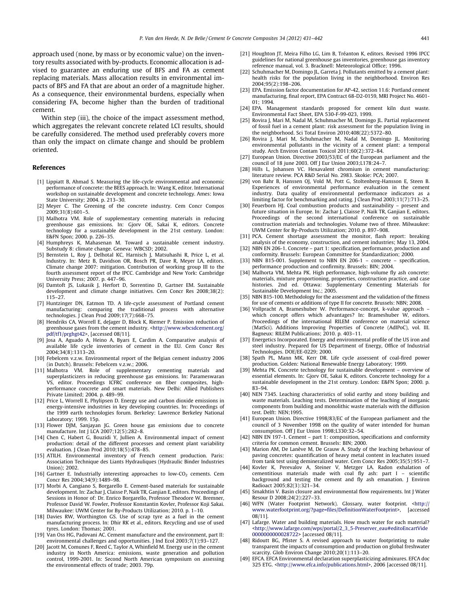<span id="page-10-0"></span>approach used (none, by mass or by economic value) on the inventory results associated with by-products. Economic allocation is advised to guarantee an enduring use of BFS and FA as cement replacing materials. Mass allocation results in environmental impacts of BFS and FA that are about an order of a magnitude higher. As a consequence, their environmental burdens, especially when considering FA, become higher than the burden of traditional cement.

Within step (iii), the choice of the impact assessment method, which aggregates the relevant concrete related LCI results, should be carefully considered. The method used preferably covers more than only the impact on climate change and should be problem oriented.

#### References

- [1] Lippiatt B, Ahmad S. Measuring the life-cycle environmental and economic performance of concrete: the BEES approach. In: Wang K, editor. International workshop on sustainable development and concrete technology. Ames: Iowa State University; 2004. p. 213–30.
- [2] Meyer C. The Greening of the concrete industry. Cem Concr Compos 2009;31(8):601–5.
- [3] Malhotra VM. Role of supplementary cementing materials in reducing greenhouse gas emissions. In: Gjorv OE, Sakai K, editors. Concrete technology for a sustainable development in the 21st century. London: E&FN Spon; 2000. p. 226–35.
- [4] Humphreys K, Mahasenan M. Toward a sustainable cement industry. Substudy 8: climate change. Geneva: WBCSD; 2002.
- [5] Bernstein L, Roy J, Delhotal KC, Harnisch J, Matsuhashi R, Price L, et al. Industry. In: Metz B, Davidson OR, Bosch PR, Dave R, Meyer LA, editors. Climate change 2007: mitigation. Contribution of working group III to the fourth assessment report of the IPCC. Cambridge and New York: Cambridge University Press; 2007. p. 447–96.
- [6] Damtoft JS, Lukasik J, Herfort D, Sorrentino D, Gartner EM. Sustainable development and climate change initiatives. Cem Concr Res 2008;38(2): 115–27.
- [7] Huntzinger DN, Eatmon TD. A life-cycle assessment of Portland cement manufacturing: comparing the traditional process with alternative technologies. J Clean Prod 2009;17(7):668–75.
- [8] Hendriks CA, Worrell E, deJager D, Block K, Riemer P. Emission reduction of greenhouse gases from the cement industry. [<http://www.wbcsdcement.org/](http://www.wbcsdcement.org/pdf/tf1/prghgt42) [pdf/tf1/prghgt42](http://www.wbcsdcement.org/pdf/tf1/prghgt42)>, [accessed 08/11].
- [9] Josa A, Aguado A, Heino A, Byars E, Cardim A. Comparative analysis of available life cycle inventories of cement in the EU. Cem Concr Res 2004;34(8):1313–20.
- [10] Febelcem v.z.w. Environmental report of the Belgian cement industry 2006 (in Dutch). Brussels: Febelcem v.z.w.; 2006.
- [11] Malhotra VM. Role of supplementary cementing materials and superplasticizers in reducing greenhouse gas emissions. In: Parameswaran VS, editor. Proceedings ICFRC conference on fiber composites, highperformance concrete and smart materials. New Delhi: Allied Publishers Private Limited; 2004. p. 489–99.
- [12] Price L, Worrell E, Phylipsen D. Energy use and carbon dioxide emissions in energy-intensive industries in key developing countries. In: Proceedings of the 1999 earth technologies forum. Berkeley: Lawrence Berkeley National Laboratory; 1999. 15p.
- [13] Flower DJM, Sanjayan JG. Green house gas emissions due to concrete manufacture. Int J LCA 2007;12(5):282–8.
- [14] Chen C, Habert G, Bouzidi Y, Jullien A. Environmental impact of cement production: detail of the different processes and cement plant variability evaluation. J Clean Prod 2010;18(5):478–85.
- [15] ATILH. Environmental inventory of French cement production. Paris: Association Technique des Liants Hydrauliques (Hydraulic Binder Industries Union); 2002.
- [16] Gartner E. Industrially interesting approaches to low- $CO<sub>2</sub>$  cements. Cem Concr Res 2004;34(9):1489–98.
- [17] Morbi A, Cangiano S, Borgarello E. Cement-based materials for sustainable development. In: Zachar J, Claisse P, Naik TR, Ganjian E, editors. Proceedings of Sessions in Honor of: Dr. Enrico Borgarello, Professor Theodore W. Bremner, Professor David W. Fowler, Professor Konstantin Kovler, Professor Koji Sakai. Milwaukee: UWM Center for By-Products Utilization; 2010. p. 1–10.
- [18] Davies RW, Worthington GS. Use of scrap tyre as a fuel in the cement manufacturing process. In: Dhir RK et al., editors. Recycling and use of used tyres. London: Thomas; 2001.
- [19] Van Oss HG, Padovani AC. Cement manufacture and the environment, part II: environmental challenges and opportunities. J Ind Ecol 2003;7(1):93–127.
- [20] Jacott M, Comunes F, Reed C, Taylor A, Whinfield M. Energy use in the cement industry in North America: emissions, waste generation and pollution control, 1999-2001. In: Second North American symposium on assessing the environmental effects of trade; 2003. 79p.
- [21] Houghton JT, Meira Filho LG, Lim B, Tréanton K, editors. Revised 1996 IPCC guidelines for national greenhouse gas inventories, greenhouse gas inventory reference manual, vol. 3. Bracknell: Meteorological Office; 1996.
- Schuhmacher M, Domingo JL, Garreta J. Pollutants emitted by a cement plant: health risks for the population living in the neighborhood. Environ Res 2004;95(2):198–206.
- [23] EPA. Emission factor documentation for AP-42, section 11.6: Portland cement manufacturing, final report, EPA Contract 68-D2-0159, MRI Project No. 4601- 01; 1994.
- [24] EPA. Management standards proposed for cement kiln dust waste. Environmental Fact Sheet, EPA 530-F-99-023, 1999.
- [25] Rovira J, Mari M, Nadal M, Schuhmacher M, Domingo JL. Partial replacement of fossil fuel in a cement plant: risk assessment for the population living in the neighborhood. Sci Total Environ 2010;408(22):5372–80.
- [26] Rovira J, Mari M, Schuhmacher M, Nadal M, Domingo JL. Monitoring environmental pollutants in the vicinity of a cement plant: a temporal study. Arch Environ Contam Toxicol 2011;60(2):372–84.
- [27] European Union. Directive 2003/53/EC of the European parliament and the council of 18 june 2003. Off J Eur Union 2003;L178:24–7.
- [28] Hills L, Johansen VC. Hexavalent chromium in cement manufacturing: literature review. PCA R&D Serial No. 2983. Skokie: PCA; 2007.
- [29] von Bahr B, Hanssen OJ, Vold M, Pott G, Stoltenberg-Hansson E, Steen B. Experiences of environmental performance evaluation in the cement industry. Data quality of environmental performance indicators as a limiting factor for benchmarking and rating. J Clean Prod 2003;11(7):713–25.
- [30] Feuerborn HJ. Coal combustion products and sustainability present and future situation in Europe. In: Zachar J, Claisse P, Naik TR, Ganjian E, editors. Proceedings of the second international conference on sustainable construction materials and technologies. Volume two of three. Milwaukee: UWM Center for By-Products Utilization; 2010. p. 897–908.
- [31] PCA. Cement shortage assessment the monitor, flash report: breaking analysis of the economy, construction, and cement industries; May 13, 2004.
- [32] NBN EN 206-1. Concrete part 1: specification, performance, production and conformity. Brussels: European Committee for Standardization; 2000.
- [33] NBN B15-001. Supplement to NBN EN 206-1 concrete specification, performance production and confirmity. Brussels: BIN; 2004.
- [34] Malhorta VM, Mehta PK. High performance, high-volume fly ash concrete: materials, mixture proportioning, properties, construction practice, and case histories. 2nd ed. Ottawa: Supplementary Cementing Materials for Sustainable Development Inc.; 2005.
- [35] NBN B15-100. Methodology for the assessment and the validation of the fitness for use of cements or additions of type II for concrete. Brussels: NBN; 2008.
- [36] Vollpracht A, Brameshuber W. Performance-concept, k-value approach which concept offers which advantages? In: Brameshuber W, editors. Proceedings of the international RILEM conference on material science (MatSci). Additions Improving Properties of Concrete (AdIPoC), vol. III. Bagneux: RILEM Publications; 2010. p. 403–11.
- [37] Energetics Incorporated. Energy and environmental profile of the US iron and steel industry. Prepared for US Department of Energy, Office of Industrial Technologies. DOE/EE-0229; 2000.
- [38] Spath PL, Mann MK, Kerr DR. Life cycle assessent of coal-fired power production. Golden: National Renewable Energy Laboratory; 1999.
- [39] Mehta PK. Concrete technology for sustainable development overview of essential elements. In: Gjorv OE, Sakai K, editors. Concrete technology for a sustainable development in the 21st century. London: E&FN Spon; 2000. p. 83–94.
- [40] NEN 7345. Leaching characteristics of solid earthy and stony building and waste materials. Leaching tests. Determination of the leaching of inorganic components from building and monolithic waste materials with the diffusion test. Delft: NEN;1995.
- [41] European Union. Directive 1998/83/EC of the European parliament and the council of 3 November 1998 on the quality of water intended for human consumption. Off J Eur Union 1998;L330:32–54.
- [42] NBN EN 197-1. Cement part 1: composition, specifications and conformity criteria for common cement. Brussels: BIN; 2000.
- [43] Marion AM, De Lanève M, De Grauw A. Study of the leaching behaviour of paving concretes: quantification of heavy metal content in leachates issued from tank test using demineralized water. Cem Concr Res 2005;35(5):951–7.
- [44] Kovler K, Perevalov A, Steiner V, Metzger LA. Radon exhalation of cementitious materials made with coal fly ash: part I – scientific background and testing the cement and fly ash emanation. J Environ Radioact 2005;82(3):321–34.
- [45] Smakhtin V. Basin closure and environmental flow requirements. Int J Water Resour D 2008;24(2):227–33.
- [46] WFN (Water Footprint Network). Glossary, water footprint. <[http://](http://www.waterfootprint.org/?page=files/DefinitionWaterFootprint) [www.waterfootprint.org/?page=files/DefinitionWaterFootprint>](http://www.waterfootprint.org/?page=files/DefinitionWaterFootprint), [accessed 08/11].
- [47] Lafarge. Water and building materials. How much water for each material? <[http://www.lafarge.com/wps/portal/2\\_3\\_5-Preserver\\_eau#editoEncartVide](http://www.lafarge.com/wps/portal/2_3_5-Preserver_eau#editoEncartVide0000000000028722) [0000000000028722>](http://www.lafarge.com/wps/portal/2_3_5-Preserver_eau#editoEncartVide0000000000028722) [accessed 08/11].
- [48] Ridoutt BG, Pfister S. A revised approach to water footprinting to make transparent the impacts of consumption and production on global freshwater scarcity. Glob Environ Change 2010;20(1):113–20.
- [49] EFCA. EFCA Environmental declaration superplasticizing admixures. EFCA doc 325 ETG. [<http://www.efca.info/publications.html](http://www.efca.info/publications.html)>, 2006 [accessed 08/11].